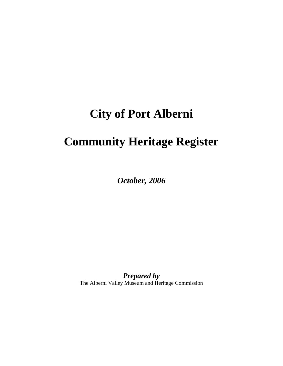# **City of Port Alberni**

# **Community Heritage Register**

*October, 2006* 

*Prepared by*  The Alberni Valley Museum and Heritage Commission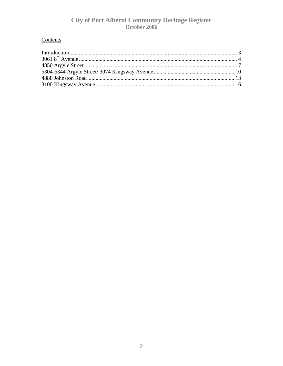# Contents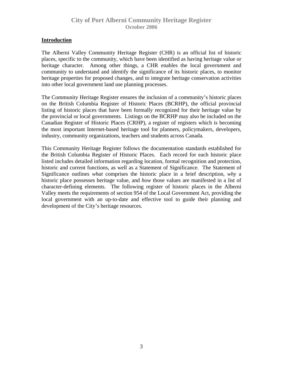#### <span id="page-2-0"></span>**Introduction**

The Alberni Valley Community Heritage Register (CHR) is an official list of historic places, specific to the community, which have been identified as having heritage value or heritage character. Among other things, a CHR enables the local government and community to understand and identify the significance of its historic places, to monitor heritage properties for proposed changes, and to integrate heritage conservation activities into other local government land use planning processes.

The Community Heritage Register ensures the inclusion of a community's historic places on the British Columbia Register of Historic Places (BCRHP), the official provincial listing of historic places that have been formally recognized for their heritage value by the provincial or local governments. Listings on the BCRHP may also be included on the Canadian Register of Historic Places (CRHP), a register of registers which is becoming the most important Internet-based heritage tool for planners, policymakers, developers, industry, community organizations, teachers and students across Canada.

This Community Heritage Register follows the documentation standards established for the British Columbia Register of Historic Places. Each record for each historic place listed includes detailed information regarding location, formal recognition and protection, historic and current functions, as well as a Statement of Significance. The Statement of Significance outlines *what* comprises the historic place in a brief description, *why* a historic place possesses heritage value, and *how* those values are manifested in a list of character-defining elements. The following register of historic places in the Alberni Valley meets the requirements of section 954 of the Local Government Act, providing the local government with an up-to-date and effective tool to guide their planning and development of the City's heritage resources.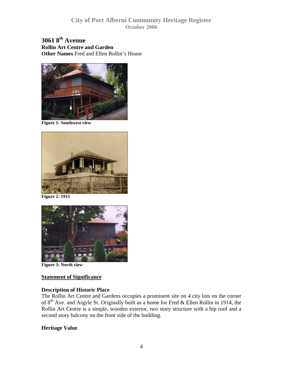<span id="page-3-0"></span>**3061 8th Avenue Rollin Art Centre and Garden Other Names** Fred and Ellen Rollin's House



**Figure 1: Southwest view** 



**Figure 2: 1915** 



**Figure 3: North view** 

#### **Statement of Significance**

#### **Description of Historic Place**

The Rollin Art Centre and Gardens occupies a prominent site on 4 city lots on the corner of  $8<sup>th</sup>$  Ave. and Argyle St. Originally built as a home for Fred & Ellen Rollin in 1914, the Rollin Art Centre is a simple, wooden exterior, two story structure with a hip roof and a second story balcony on the front side of the building.

#### **Heritage Value**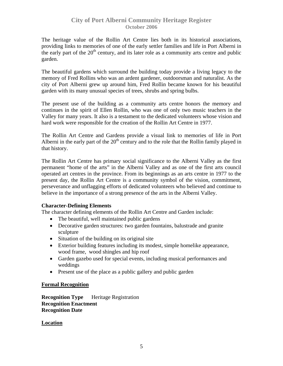The heritage value of the Rollin Art Centre lies both in its historical associations, providing links to memories of one of the early settler families and life in Port Alberni in the early part of the  $20<sup>th</sup>$  century, and its later role as a community arts centre and public garden.

The beautiful gardens which surround the building today provide a living legacy to the memory of Fred Rollins who was an ardent gardener, outdoorsman and naturalist. As the city of Port Alberni grew up around him, Fred Rollin became known for his beautiful garden with its many unusual species of trees, shrubs and spring bulbs.

The present use of the building as a community arts centre honors the memory and continues in the spirit of Ellen Rollin, who was one of only two music teachers in the Valley for many years. It also is a testament to the dedicated volunteers whose vision and hard work were responsible for the creation of the Rollin Art Centre in 1977.

The Rollin Art Centre and Gardens provide a visual link to memories of life in Port Alberni in the early part of the  $20<sup>th</sup>$  century and to the role that the Rollin family played in that history.

The Rollin Art Centre has primary social significance to the Alberni Valley as the first permanent "home of the arts" in the Alberni Valley and as one of the first arts council operated art centres in the province. From its beginnings as an arts centre in 1977 to the present day, the Rollin Art Centre is a community symbol of the vision, commitment, perseverance and unflagging efforts of dedicated volunteers who believed and continue to believe in the importance of a strong presence of the arts in the Alberni Valley.

#### **Character-Defining Elements**

The character defining elements of the Rollin Art Centre and Garden include:

- The beautiful, well maintained public gardens
- Decorative garden structures: two garden fountains, balustrade and granite sculpture
- Situation of the building on its original site
- Exterior building features including its modest, simple homelike appearance, wood frame, wood shingles and hip roof
- Garden gazebo used for special events, including musical performances and weddings
- Present use of the place as a public gallery and public garden

#### **Formal Recognition**

**Recognition Type** Heritage Registration **Recognition Enactment Recognition Date** 

#### **Location**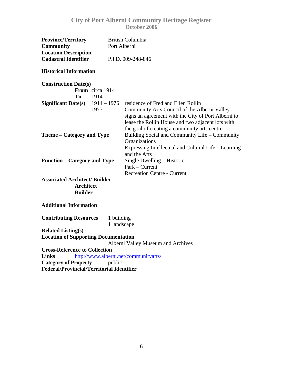| <b>Province/Territory</b><br><b>Community</b>                                   | <b>British Columbia</b><br>Port Alberni |                                                                                                                                                                                                                                                 |
|---------------------------------------------------------------------------------|-----------------------------------------|-------------------------------------------------------------------------------------------------------------------------------------------------------------------------------------------------------------------------------------------------|
| <b>Location Description</b><br><b>Cadastral Identifier</b>                      |                                         | P.I.D. 009-248-846                                                                                                                                                                                                                              |
| <b>Historical Information</b>                                                   |                                         |                                                                                                                                                                                                                                                 |
| <b>Construction Date(s)</b><br><b>From</b> circa 1914<br>T <sub>0</sub><br>1914 |                                         |                                                                                                                                                                                                                                                 |
| <b>Significant Date(s)</b><br>1977                                              | $1914 - 1976$                           | residence of Fred and Ellen Rollin<br>Community Arts Council of the Alberni Valley<br>signs an agreement with the City of Port Alberni to<br>lease the Rollin House and two adjacent lots with<br>the goal of creating a community arts centre. |
| Theme – Category and Type                                                       |                                         | Building Social and Community Life - Community<br>Organizations<br>Expressing Intellectual and Cultural Life – Learning<br>and the Arts                                                                                                         |
| <b>Function – Category and Type</b>                                             |                                         | Single Dwelling - Historic<br>Park – Current<br><b>Recreation Centre - Current</b>                                                                                                                                                              |
| <b>Associated Architect/Builder</b><br><b>Architect</b><br><b>Builder</b>       |                                         |                                                                                                                                                                                                                                                 |
| <b>Additional Information</b>                                                   |                                         |                                                                                                                                                                                                                                                 |
| <b>Contributing Resources</b><br>1 building<br>1 landscape                      |                                         |                                                                                                                                                                                                                                                 |
| <b>Related Listing(s)</b><br><b>Location of Supporting Documentation</b>        |                                         |                                                                                                                                                                                                                                                 |
|                                                                                 |                                         | Alberni Valley Museum and Archives                                                                                                                                                                                                              |
| <b>Cross-Reference to Collection</b>                                            |                                         |                                                                                                                                                                                                                                                 |
| <b>Links</b>                                                                    |                                         | http://www.alberni.net/communityarts/                                                                                                                                                                                                           |
| <b>Category of Property</b>                                                     | public                                  |                                                                                                                                                                                                                                                 |

**Federal/Provincial/Territorial Identifier**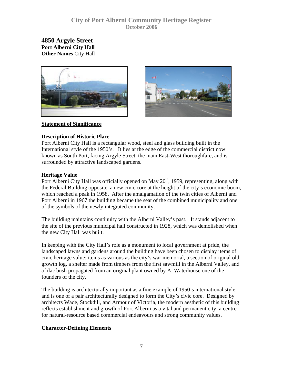<span id="page-6-0"></span>**4850 Argyle Street Port Alberni City Hall Other Names** City Hall





#### **Statement of Significance**

#### **Description of Historic Place**

Port Alberni City Hall is a rectangular wood, steel and glass building built in the International style of the 1950's. It lies at the edge of the commercial district now known as South Port, facing Argyle Street, the main East-West thoroughfare, and is surrounded by attractive landscaped gardens.

#### **Heritage Value**

Port Alberni City Hall was officially opened on May  $20<sup>th</sup>$ , 1959, representing, along with the Federal Building opposite, a new civic core at the height of the city's economic boom, which reached a peak in 1958.After the amalgamation of the twin cities of Alberni and Port Alberni in 1967 the building became the seat of the combined municipality and one of the symbols of the newly integrated community.

The building maintains continuity with the Alberni Valley's past. It stands adjacent to the site of the previous municipal hall constructed in 1928, which was demolished when the new City Hall was built.

In keeping with the City Hall's role as a monument to local government at pride, the landscaped lawns and gardens around the building have been chosen to display items of civic heritage value: items as various as the city's war memorial, a section of original old growth log, a shelter made from timbers from the first sawmill in the Alberni Valley, and a lilac bush propagated from an original plant owned by A. Waterhouse one of the founders of the city.

The building is architecturally important as a fine example of 1950's international style and is one of a pair architecturally designed to form the City's civic core. Designed by architects Wade, Stockdill, and Armour of Victoria, the modern aesthetic of this building reflects establishment and growth of Port Alberni as a vital and permanent city; a centre for natural-resource based commercial endeavours and strong community values.

#### **Character-Defining Elements**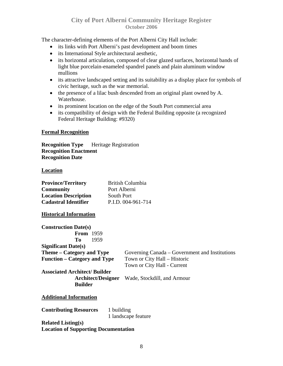The character-defining elements of the Port Alberni City Hall include:

- its links with Port Alberni's past development and boom times
- its International Style architectural aesthetic,
- its horizontal articulation, composed of clear glazed surfaces, horizontal bands of light blue porcelain-enameled spandrel panels and plain aluminum window mullions
- its attractive landscaped setting and its suitability as a display place for symbols of civic heritage, such as the war memorial.
- the presence of a lilac bush descended from an original plant owned by A. Waterhouse.
- its prominent location on the edge of the South Port commercial area
- its compatibility of design with the Federal Building opposite (a recognized Federal Heritage Building: #9320)

#### **Formal Recognition**

**Recognition Type** Heritage Registration **Recognition Enactment Recognition Date** 

#### **Location**

| <b>Province/Territory</b>            | <b>British Columbia</b>                        |  |
|--------------------------------------|------------------------------------------------|--|
| <b>Community</b>                     | Port Alberni                                   |  |
| <b>Location Description</b>          | South Port                                     |  |
| <b>Cadastral Identifier</b>          | P.I.D. 004-961-714                             |  |
| <b>Historical Information</b>        |                                                |  |
| <b>Construction Date(s)</b>          |                                                |  |
| <b>From</b> 1959                     |                                                |  |
| <b>To</b><br>1959                    |                                                |  |
| Significant Date(s)                  |                                                |  |
| Theme – Category and Type            | Governing Canada – Government and Institutions |  |
| <b>Function – Category and Type</b>  | Town or City Hall – Historic                   |  |
|                                      | Town or City Hall - Current                    |  |
| <b>Associated Architect/ Builder</b> |                                                |  |
| <b>Architect/Designer</b>            | Wade, Stockdill, and Armour                    |  |
| <b>Builder</b>                       |                                                |  |
| <b>Additional Information</b>        |                                                |  |
| <b>Contributing Resources</b>        | 1 building                                     |  |

1 landscape feature

**Related Listing(s) Location of Supporting Documentation**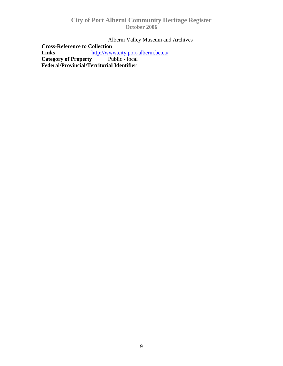Alberni Valley Museum and Archives

**Cross-Reference to Collection**<br>**Links http://www.** http://www.city.port-alberni.bc.ca/<br>**y** Public - local **Category of Property Federal/Provincial/Territorial Identifier**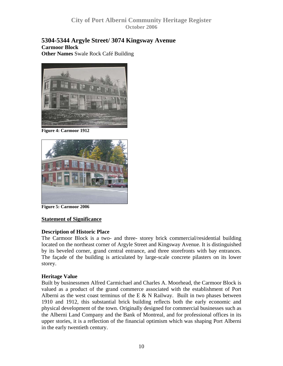#### <span id="page-9-0"></span>**5304-5344 Argyle Street/ 3074 Kingsway Avenue Carmoor Block Other Names** Swale Rock Café Building



**Figure 4: Carmoor 1912** 



**Figure 5: Carmoor 2006** 

#### **Statement of Significance**

#### **Description of Historic Place**

The Carmoor Block is a two- and three- storey brick commercial/residential building located on the northeast corner of Argyle Street and Kingsway Avenue. It is distinguished by its beveled corner, grand central entrance, and three storefronts with bay entrances. The façade of the building is articulated by large-scale concrete pilasters on its lower storey.

#### **Heritage Value**

Built by businessmen Alfred Carmichael and Charles A. Moorhead, the Carmoor Block is valued as a product of the grand commerce associated with the establishment of Port Alberni as the west coast terminus of the E  $&N$  Railway. Built in two phases between 1910 and 1912, this substantial brick building reflects both the early economic and physical development of the town. Originally designed for commercial businesses such as the Alberni Land Company and the Bank of Montreal, and for professional offices in its upper stories, it is a reflection of the financial optimism which was shaping Port Alberni in the early twentieth century.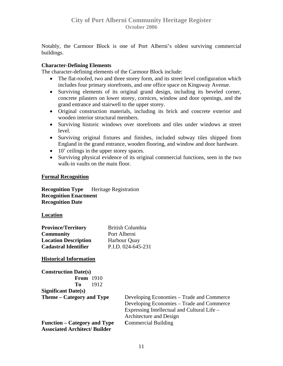Notably, the Carmoor Block is one of Port Alberni's oldest surviving commercial buildings.

#### **Character-Defining Elements**

The character-defining elements of the Carmoor Block include:

- The flat-roofed, two and three storey form, and its street level configuration which includes four primary storefronts, and one office space on Kingsway Avenue.
- Surviving elements of its original grand design, including its beveled corner, concrete pilasters on lower storey, cornices, window and door openings, and the grand entrance and stairwell to the upper storey.
- Original construction materials, including its brick and concrete exterior and wooden interior structural members.
- Surviving historic windows over storefronts and tiles under windows at street level.
- Surviving original fixtures and finishes, included subway tiles shipped from England in the grand entrance, wooden flooring, and window and door hardware.
- 10' ceilings in the upper storey spaces.
- Surviving physical evidence of its original commercial functions, seen in the two walk-in vaults on the main floor.

#### **Formal Recognition**

**Recognition Type Heritage Registration Recognition Enactment Recognition Date** 

#### **Location**

| <b>Province/Territory</b>   | <b>British Columbia</b> |
|-----------------------------|-------------------------|
| <b>Community</b>            | Port Alberni            |
| <b>Location Description</b> | <b>Harbour Quay</b>     |
| <b>Cadastral Identifier</b> | P.I.D. 024-645-231      |

#### **Historical Information**

| <b>Construction Date(s)</b>         |                                             |
|-------------------------------------|---------------------------------------------|
| <b>From</b> 1910                    |                                             |
| 1912<br>To                          |                                             |
| Significant Date(s)                 |                                             |
| Theme – Category and Type           | Developing Economies – Trade and Commerce   |
|                                     | Developing Economies – Trade and Commerce   |
|                                     | Expressing Intellectual and Cultural Life – |
|                                     | Architecture and Design                     |
| <b>Function – Category and Type</b> | <b>Commercial Building</b>                  |
| <b>Associated Architect/Builder</b> |                                             |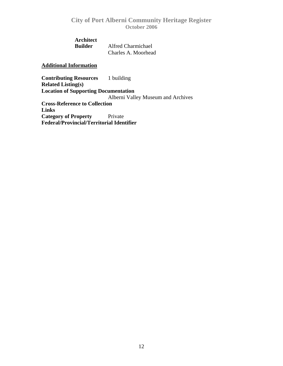**Architect** 

 **Builder** Alfred Charmichael Charles A. Moorhead

#### **Additional Information**

**Contributing Resources** 1 building **Related Listing(s) Location of Supporting Documentation** Alberni Valley Museum and Archives **Cross-Reference to Collection Links Category of Property** Private **Federal/Provincial/Territorial Identifier**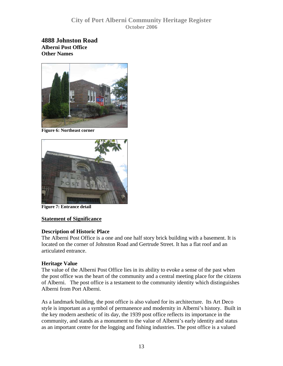<span id="page-12-0"></span>**4888 Johnston Road Alberni Post Office Other Names** 



**Figure 6: Northeast corner** 



**Figure 7: Entrance detail** 

#### **Statement of Significance**

#### **Description of Historic Place**

The Alberni Post Office is a one and one half story brick building with a basement. It is located on the corner of Johnston Road and Gertrude Street. It has a flat roof and an articulated entrance.

#### **Heritage Value**

The value of the Alberni Post Office lies in its ability to evoke a sense of the past when the post office was the heart of the community and a central meeting place for the citizens of Alberni. The post office is a testament to the community identity which distinguishes Alberni from Port Alberni.

As a landmark building, the post office is also valued for its architecture. Its Art Deco style is important as a symbol of permanence and modernity in Alberni's history. Built in the key modern aesthetic of its day, the 1939 post office reflects its importance in the community, and stands as a monument to the value of Alberni's early identity and status as an important centre for the logging and fishing industries. The post office is a valued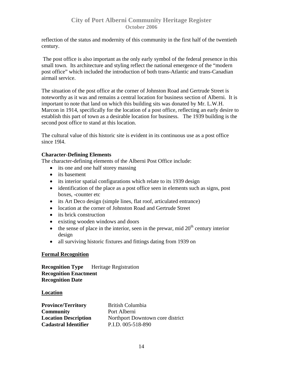reflection of the status and modernity of this community in the first half of the twentieth century.

 The post office is also important as the only early symbol of the federal presence in this small town. Its architecture and styling reflect the national emergence of the "modern post office" which included the introduction of both trans-Atlantic and trans-Canadian airmail service.

The situation of the post office at the corner of Johnston Road and Gertrude Street is noteworthy as it was and remains a central location for business section of Alberni. It is important to note that land on which this building sits was donated by Mr. L.W.H. Marcon in 1914, specifically for the location of a post office, reflecting an early desire to establish this part of town as a desirable location for business. The 1939 building is the second post office to stand at this location.

The cultural value of this historic site is evident in its continuous use as a post office since 19l4.

## **Character-Defining Elements**

The character-defining elements of the Alberni Post Office include:

- its one and one half storey massing
- its basement
- its interior spatial configurations which relate to its 1939 design
- identification of the place as a post office seen in elements such as signs, post boxes, -counter etc
- its Art Deco design (simple lines, flat roof, articulated entrance)
- location at the corner of Johnston Road and Gertrude Street
- its brick construction
- existing wooden windows and doors
- the sense of place in the interior, seen in the prewar, mid  $20<sup>th</sup>$  century interior design
- all surviving historic fixtures and fittings dating from 1939 on

#### **Formal Recognition**

**Recognition Type** Heritage Registration **Recognition Enactment Recognition Date** 

#### **Location**

| <b>Province/Territory</b>   | British Columbia                 |
|-----------------------------|----------------------------------|
| <b>Community</b>            | Port Alberni                     |
| <b>Location Description</b> | Northport Downtown core district |
| <b>Cadastral Identifier</b> | P.I.D. 005-518-890               |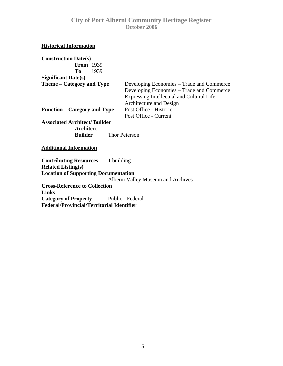#### **Historical Information**

| <b>Construction Date(s)</b>          |                                             |
|--------------------------------------|---------------------------------------------|
| <b>From</b> 1939                     |                                             |
| To<br>1939                           |                                             |
| <b>Significant Date(s)</b>           |                                             |
| Theme – Category and Type            | Developing Economies – Trade and Commerce   |
|                                      | Developing Economies – Trade and Commerce   |
|                                      | Expressing Intellectual and Cultural Life – |
|                                      | Architecture and Design                     |
| Function – Category and Type         | Post Office - Historic                      |
|                                      | Post Office - Current                       |
| <b>Associated Architect/ Builder</b> |                                             |
| Architect                            |                                             |
| Builder                              | <b>Thor Peterson</b>                        |
|                                      |                                             |

#### **Additional Information**

**Contributing Resources** 1 building **Related Listing(s) Location of Supporting Documentation** Alberni Valley Museum and Archives **Cross-Reference to Collection Links Category of Property** Public - Federal **Federal/Provincial/Territorial Identifier**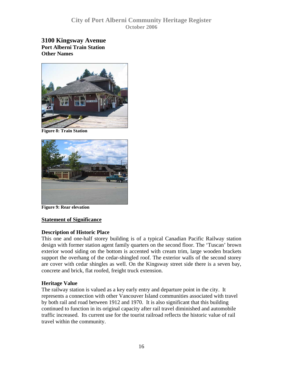<span id="page-15-0"></span>**3100 Kingsway Avenue Port Alberni Train Station Other Names** 



**Figure 8: Train Station** 



**Figure 9: Rear elevation**

#### **Statement of Significance**

#### **Description of Historic Place**

This one and one-half storey building is of a typical Canadian Pacific Railway station design with former station agent family quarters on the second floor. The 'Tuscan' brown exterior wood siding on the bottom is accented with cream trim, large wooden brackets support the overhang of the cedar-shingled roof. The exterior walls of the second storey are cover with cedar shingles as well. On the Kingsway street side there is a seven bay, concrete and brick, flat roofed, freight truck extension.

#### **Heritage Value**

The railway station is valued as a key early entry and departure point in the city. It represents a connection with other Vancouver Island communities associated with travel by both rail and road between 1912 and 1970. It is also significant that this building continued to function in its original capacity after rail travel diminished and automobile traffic increased. Its current use for the tourist railroad reflects the historic value of rail travel within the community.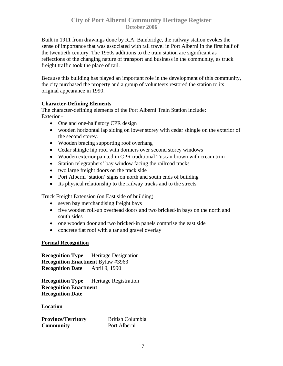Built in 1911 from drawings done by R.A. Bainbridge, the railway station evokes the sense of importance that was associated with rail travel in Port Alberni in the first half of the twentieth century. The 1950s additions to the train station are significant as reflections of the changing nature of transport and business in the community, as truck freight traffic took the place of rail.

Because this building has played an important role in the development of this community, the city purchased the property and a group of volunteers restored the station to its original appearance in 1990.

#### **Character-Defining Elements**

The character-defining elements of the Port Alberni Train Station include: Exterior -

- One and one-half story CPR design
- wooden horizontal lap siding on lower storey with cedar shingle on the exterior of the second storey.
- Wooden bracing supporting roof overhang
- Cedar shingle hip roof with dormers over second storey windows
- Wooden exterior painted in CPR traditional Tuscan brown with cream trim
- Station telegraphers' bay window facing the railroad tracks
- two large freight doors on the track side
- Port Alberni 'station' signs on north and south ends of building
- Its physical relationship to the railway tracks and to the streets

Truck Freight Extension (on East side of building)

- seven bay merchandising freight bays
- five wooden roll-up overhead doors and two bricked-in bays on the north and south sides
- one wooden door and two bricked-in panels comprise the east side
- concrete flat roof with a tar and gravel overlay

#### **Formal Recognition**

**Recognition Type** Heritage Designation **Recognition Enactment** Bylaw #3963 **Recognition Date** April 9, 1990

**Recognition Type** Heritage Registration **Recognition Enactment Recognition Date** 

#### **Location**

**Province/Territory** British Columbia **Community** Port Alberni